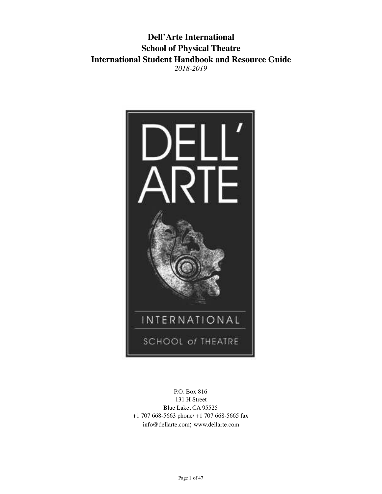### **Dell'Arte International School of Physical Theatre International Student Handbook and Resource Guide** *2018-2019*



P.O. Box 816 131 H Street Blue Lake, CA 95525 +1 707 668-5663 phone/ +1 707 668-5665 fax info@dellarte.com; www.dellarte.com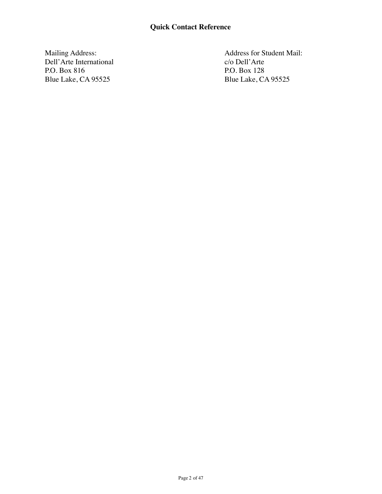Mailing Address: Dell'Arte International P.O. Box 816 Blue Lake, CA 95525

Address for Student Mail: c/o Dell'Arte P.O. Box 128 Blue Lake, CA 95525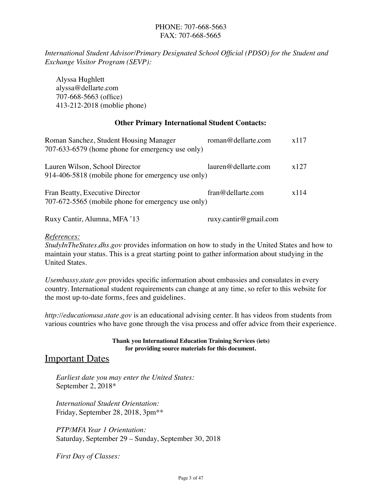#### PHONE: 707-668-5663 FAX: 707-668-5665

*International Student Advisor/Primary Designated School Official (PDSO) for the Student and Exchange Visitor Program (SEVP):*

Alyssa Hughlett alyssa@dellarte.com 707-668-5663 (office) 413-212-2018 (moblie phone)

#### **Other Primary International Student Contacts:**

| Roman Sanchez, Student Housing Manager<br>707-633-6579 (home phone for emergency use only) | roman@dellarte.com     | x117 |
|--------------------------------------------------------------------------------------------|------------------------|------|
| Lauren Wilson, School Director<br>914-406-5818 (mobile phone for emergency use only)       | $l$ auren@dellarte.com | x127 |
| Fran Beatty, Executive Director<br>707-672-5565 (mobile phone for emergency use only)      | fran@dellarte.com      | x114 |

Ruxy Cantir, Alumna, MFA '13 ruxy.cantir@gmail.com

#### *References:*

*StudyInTheStates.dhs.gov* provides information on how to study in the United States and how to maintain your status. This is a great starting point to gather information about studying in the United States.

*Usembassy.state.gov* provides specific information about embassies and consulates in every country. International student requirements can change at any time, so refer to this website for the most up-to-date forms, fees and guidelines.

*http://educationusa.state.gov* is an educational advising center. It has videos from students from various countries who have gone through the visa process and offer advice from their experience.

> **Thank you International Education Training Services (iets) for providing source materials for this document.**

### **Important Dates**

*Earliest date you may enter the United States:* September 2, 2018\*

*International Student Orientation:* Friday, September 28, 2018, 3pm\*\*

*PTP/MFA Year 1 Orientation:* Saturday, September 29 – Sunday, September 30, 2018

*First Day of Classes:*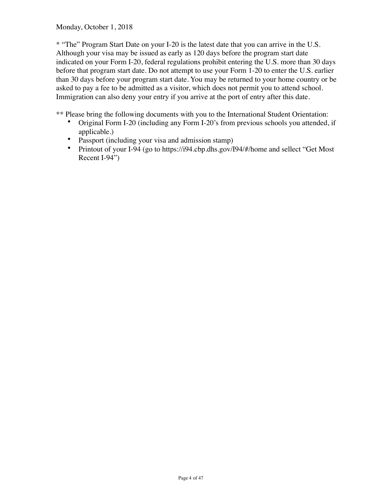Monday, October 1, 2018

\* "The" Program Start Date on your I-20 is the latest date that you can arrive in the U.S. Although your visa may be issued as early as 120 days before the program start date indicated on your Form I-20, federal regulations prohibit entering the U.S. more than 30 days before that program start date. Do not attempt to use your Form 1-20 to enter the U.S. earlier than 30 days before your program start date. You may be returned to your home country or be asked to pay a fee to be admitted as a visitor, which does not permit you to attend school. Immigration can also deny your entry if you arrive at the port of entry after this date.

\*\* Please bring the following documents with you to the International Student Orientation:

- Original Form I-20 (including any Form I-20's from previous schools you attended, if applicable.)
- Passport (including your visa and admission stamp)
- Printout of your I-94 (go to https://i94.cbp.dhs.gov/I94/#/home and sellect "Get Most" Recent I-94")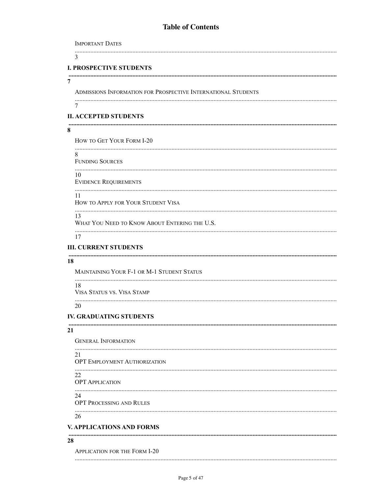### **Table of Contents**

| <b>IMPORTANT DATES</b>                                        |
|---------------------------------------------------------------|
| 3                                                             |
| <b>I. PROSPECTIVE STUDENTS</b>                                |
| 7                                                             |
| ADMISSIONS INFORMATION FOR PROSPECTIVE INTERNATIONAL STUDENTS |
| 7                                                             |
| <b>II. ACCEPTED STUDENTS</b>                                  |
| 8                                                             |
| HOW TO GET YOUR FORM I-20                                     |
| 8<br><b>FUNDING SOURCES</b>                                   |
| 10<br><b>EVIDENCE REQUIREMENTS</b>                            |
| 11<br>HOW TO APPLY FOR YOUR STUDENT VISA                      |
| 13<br>WHAT YOU NEED TO KNOW ABOUT ENTERING THE U.S.           |
| 17                                                            |
| <b>III. CURRENT STUDENTS</b>                                  |
| 18                                                            |
| MAINTAINING YOUR F-1 OR M-1 STUDENT STATUS                    |
| 18<br>VISA STATUS VS. VISA STAMP                              |
| 20                                                            |
| <b>IV. GRADUATING STUDENTS</b>                                |
| 21                                                            |
| <b>GENERAL INFORMATION</b>                                    |
| 21<br>OPT EMPLOYMENT AUTHORIZATION                            |
| 22<br><b>OPT APPLICATION</b>                                  |
| 24<br>OPT PROCESSING AND RULES                                |
| 26                                                            |
| <b>V. APPLICATIONS AND FORMS</b>                              |
| 28                                                            |
| APPLICATION FOR THE FORM I-20                                 |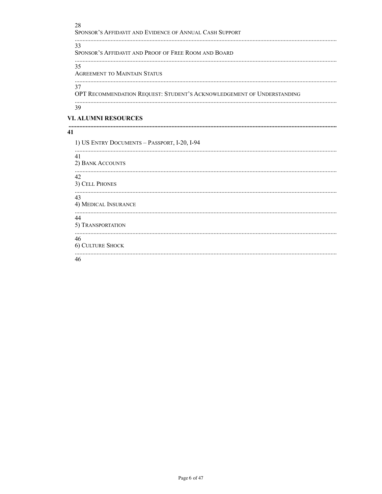28 SPONSOR'S AFFIDAVIT AND EVIDENCE OF ANNUAL CASH SUPPORT 33 SPONSOR'S AFFIDAVIT AND PROOF OF FREE ROOM AND BOARD 35 **AGREEMENT TO MAINTAIN STATUS** 37 OPT RECOMMENDATION REQUEST: STUDENT'S ACKNOWLEDGEMENT OF UNDERSTANDING 39 **VI. ALUMNI RESOURCES** 41 1) US ENTRY DOCUMENTS - PASSPORT, I-20, I-94 41 2) BANK ACCOUNTS 42 3) CELL PHONES 43 4) MEDICAL INSURANCE 44

5) TRANSPORTATION

46

| <b>6) CULTURE SHOCK</b> |  |
|-------------------------|--|
|                         |  |

46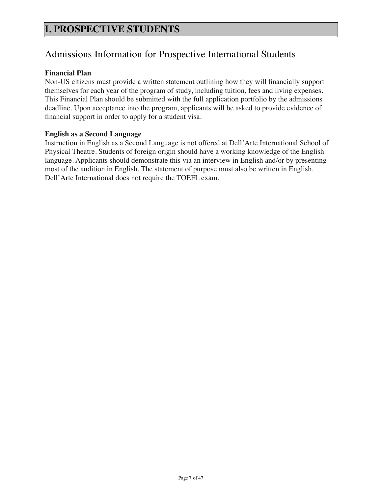## Admissions Information for Prospective International Students

#### **Financial Plan**

Non-US citizens must provide a written statement outlining how they will financially support themselves for each year of the program of study, including tuition, fees and living expenses. This Financial Plan should be submitted with the full application portfolio by the admissions deadline. Upon acceptance into the program, applicants will be asked to provide evidence of financial support in order to apply for a student visa.

#### **English as a Second Language**

Instruction in English as a Second Language is not offered at Dell'Arte International School of Physical Theatre. Students of foreign origin should have a working knowledge of the English language. Applicants should demonstrate this via an interview in English and/or by presenting most of the audition in English. The statement of purpose must also be written in English. Dell'Arte International does not require the TOEFL exam.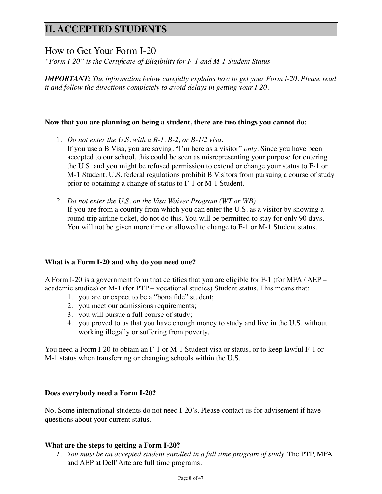## **II. ACCEPTED STUDENTS**

### How to Get Your Form I-20

*"Form I-20" is the Certificate of Eligibility for F-1 and M-1 Student Status*

*IMPORTANT: The information below carefully explains how to get your Form I-20. Please read it and follow the directions completely to avoid delays in getting your I-20.*

#### **Now that you are planning on being a student, there are two things you cannot do:**

1. *Do not enter the U.S. with a B-1, B-2, or B-1/2 visa.*

If you use a B Visa, you are saying, "I'm here as a visitor" *only*. Since you have been accepted to our school, this could be seen as misrepresenting your purpose for entering the U.S. and you might be refused permission to extend or change your status to F-1 or M-1 Student. U.S. federal regulations prohibit B Visitors from pursuing a course of study prior to obtaining a change of status to F-1 or M-1 Student.

*2. Do not enter the U.S. on the Visa Waiver Program (WT or WB).* If you are from a country from which you can enter the U.S. as a visitor by showing a round trip airline ticket, do not do this. You will be permitted to stay for only 90 days. You will not be given more time or allowed to change to F-1 or M-1 Student status.

#### **What is a Form I-20 and why do you need one?**

A Form I-20 is a government form that certifies that you are eligible for F-1 (for MFA / AEP – academic studies) or M-1 (for PTP – vocational studies) Student status. This means that:

- 1. you are or expect to be a "bona fide" student;
- 2. you meet our admissions requirements;
- 3. you will pursue a full course of study;
- 4. you proved to us that you have enough money to study and live in the U.S. without working illegally or suffering from poverty.

You need a Form I-20 to obtain an F-1 or M-1 Student visa or status, or to keep lawful F-1 or M-1 status when transferring or changing schools within the U.S.

#### **Does everybody need a Form I-20?**

No. Some international students do not need I-20's. Please contact us for advisement if have questions about your current status.

#### **What are the steps to getting a Form I-20?**

1. You must be an accepted student enrolled in a full time program of study. The PTP, MFA and AEP at Dell'Arte are full time programs.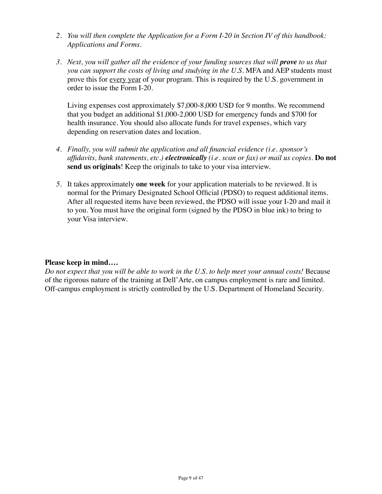- *2. You will then complete the Application for a Form I-20 in Section IV of this handbook: Applications and Forms.*
- *3. Next, you will gather all the evidence of your funding sources that will prove to us that you can support the costs of living and studying in the U.S.* MFA and AEP students must prove this for every year of your program. This is required by the U.S. government in order to issue the Form I-20.

Living expenses cost approximately \$7,000-8,000 USD for 9 months. We recommend that you budget an additional \$1,000-2,000 USD for emergency funds and \$700 for health insurance. You should also allocate funds for travel expenses, which vary depending on reservation dates and location.

- *4. Finally, you will submit the application and all financial evidence (i.e. sponsor's affidavits, bank statements, etc.) electronically (i.e. scan or fax) or mail us copies.* **Do not send us originals**! Keep the originals to take to your visa interview.
- *5.* It takes approximately **one week** for your application materials to be reviewed. It is normal for the Primary Designated School Official (PDSO) to request additional items. After all requested items have been reviewed, the PDSO will issue your I-20 and mail it to you. You must have the original form (signed by the PDSO in blue ink) to bring to your Visa interview.

### **Please keep in mind….**

*Do not expect that you will be able to work in the U.S. to help meet your annual costs!* Because of the rigorous nature of the training at Dell'Arte, on campus employment is rare and limited. Off-campus employment is strictly controlled by the U.S. Department of Homeland Security.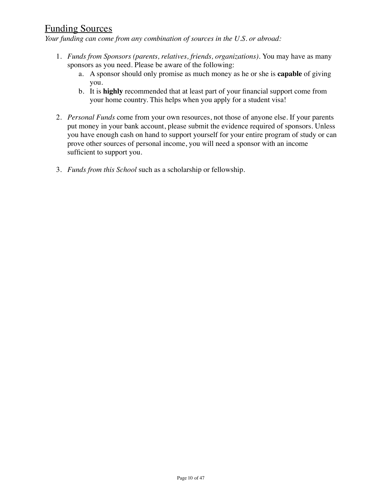## Funding Sources

*Your funding can come from any combination of sources in the U.S. or abroad:*

- 1. *Funds from Sponsors (parents, relatives, friends, organizations).* You may have as many sponsors as you need. Please be aware of the following:
	- a. A sponsor should only promise as much money as he or she is **capable** of giving you.
	- b. It is **highly** recommended that at least part of your financial support come from your home country. This helps when you apply for a student visa!
- 2. *Personal Funds* come from your own resources, not those of anyone else. If your parents put money in your bank account, please submit the evidence required of sponsors. Unless you have enough cash on hand to support yourself for your entire program of study or can prove other sources of personal income, you will need a sponsor with an income sufficient to support you.
- 3. *Funds from this School* such as a scholarship or fellowship.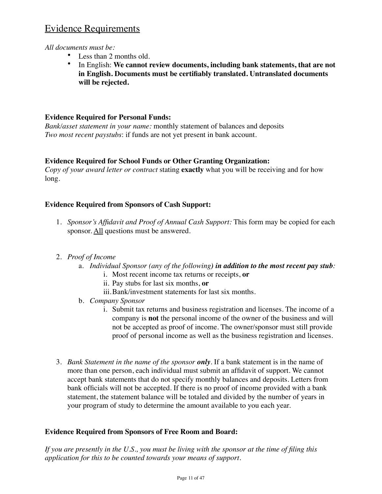## Evidence Requirements

*All documents must be:*

- Less than 2 months old.
- In English: **We cannot review documents, including bank statements, that are not in English. Documents must be certifiably translated. Untranslated documents will be rejected.**

### **Evidence Required for Personal Funds:**

*Bank/asset statement in your name:* monthly statement of balances and deposits *Two most recent paystubs*: if funds are not yet present in bank account.

### **Evidence Required for School Funds or Other Granting Organization:**

*Copy of your award letter or contract* stating **exactly** what you will be receiving and for how long.

### **Evidence Required from Sponsors of Cash Support:**

1. *Sponsor's Affidavit and Proof of Annual Cash Support:* This form may be copied for each sponsor. All questions must be answered.

### 2. *Proof of Income*

- a. *Individual Sponsor (any of the following) in addition to the most recent pay stub:*
	- i. Most recent income tax returns or receipts, **or**
	- ii. Pay stubs for last six months, **or**
	- iii.Bank/investment statements for last six months.
- b. *Company Sponsor*
	- i. Submit tax returns and business registration and licenses. The income of a company is **not** the personal income of the owner of the business and will not be accepted as proof of income. The owner/sponsor must still provide proof of personal income as well as the business registration and licenses.
- 3. *Bank Statement in the name of the sponsor only.* If a bank statement is in the name of more than one person, each individual must submit an affidavit of support. We cannot accept bank statements that do not specify monthly balances and deposits. Letters from bank officials will not be accepted. If there is no proof of income provided with a bank statement, the statement balance will be totaled and divided by the number of years in your program of study to determine the amount available to you each year.

### **Evidence Required from Sponsors of Free Room and Board:**

*If you are presently in the U.S., you must be living with the sponsor at the time of filing this application for this to be counted towards your means of support.*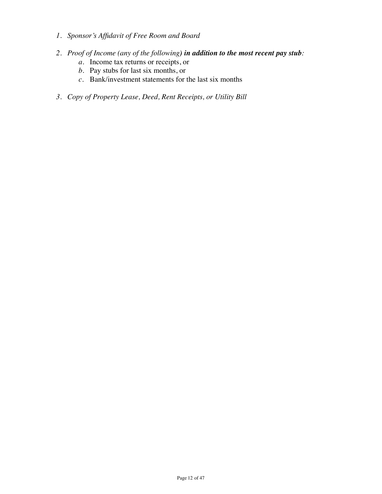- *1. Sponsor's Affidavit of Free Room and Board*
- *2. Proof of Income (any of the following) in addition to the most recent pay stub:*
	- *a.* Income tax returns or receipts, or
	- *b.* Pay stubs for last six months, or
	- *c.* Bank/investment statements for the last six months
- *3. Copy of Property Lease, Deed, Rent Receipts, or Utility Bill*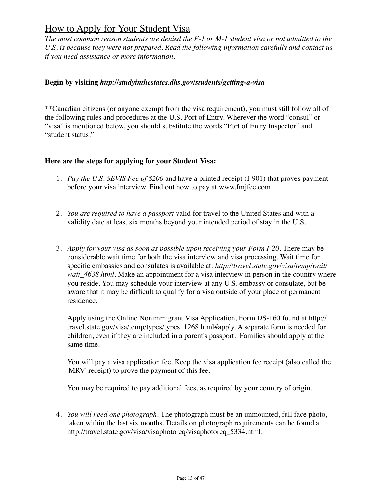## How to Apply for Your Student Visa

*The most common reason students are denied the F-1 or M-1 student visa or not admitted to the U.S. is because they were not prepared. Read the following information carefully and contact us if you need assistance or more information.*

#### **Begin by visiting** *http://studyinthestates.dhs.gov/students/getting-a-visa*

\*\*Canadian citizens (or anyone exempt from the visa requirement), you must still follow all of the following rules and procedures at the U.S. Port of Entry. Wherever the word "consul" or "visa" is mentioned below, you should substitute the words "Port of Entry Inspector" and "student status."

#### **Here are the steps for applying for your Student Visa:**

- 1. *Pay the U.S. SEVIS Fee of \$200* and have a printed receipt (I-901) that proves payment before your visa interview. Find out how to pay at www.fmjfee.com.
- 2. *You are required to have a passport* valid for travel to the United States and with a validity date at least six months beyond your intended period of stay in the U.S.
- 3. *Apply for your visa as soon as possible upon receiving your Form I-20.* There may be considerable wait time for both the visa interview and visa processing. Wait time for specific embassies and consulates is available at: *http://travel.state.gov/visa/temp/wait/ wait 4638.html.* Make an appointment for a visa interview in person in the country where you reside. You may schedule your interview at any U.S. embassy or consulate, but be aware that it may be difficult to qualify for a visa outside of your place of permanent residence.

Apply using the Online Nonimmigrant Visa Application, Form DS-160 found at http:// travel.state.gov/visa/temp/types/types 1268.html#apply. A separate form is needed for children, even if they are included in a parent's passport. Families should apply at the same time.

You will pay a visa application fee. Keep the visa application fee receipt (also called the 'MRV' receipt) to prove the payment of this fee.

You may be required to pay additional fees, as required by your country of origin.

4. *You will need one photograph.* The photograph must be an unmounted, full face photo, taken within the last six months. Details on photograph requirements can be found at http://travel.state.gov/visa/visaphotoreq/visaphotoreq\_5334.html.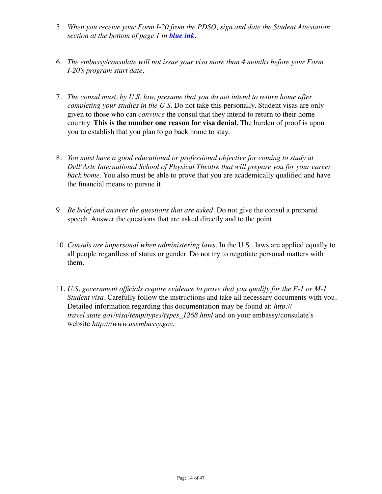- 5. *When you receive your Form I-20 from the PDSO, sign and date the Student Attestation section at the bottom of page 1 in blue ink.*
- 6. *The embassy/consulate will not issue your visa more than 4 months before your Form I-20's program start date.*
- 7. *The consul must, by U.S. law, presume that you do not intend to return home after completing your studies in the U.S.* Do not take this personally. Student visas are only given to those who can *convince* the consul that they intend to return to their home country. **This is the number one reason for visa denial.** The burden of proof is upon you to establish that you plan to go back home to stay.
- 8. *You must have a good educational or professional objective for coming to study at Dell'Arte International School of Physical Theatre that will prepare you for your career back home.* You also must be able to prove that you are academically qualified and have the financial means to pursue it.
- 9. *Be brief and answer the questions that are asked.* Do not give the consul a prepared speech. Answer the questions that are asked directly and to the point.
- 10. *Consuls are impersonal when administering laws.* In the U.S., laws are applied equally to all people regardless of status or gender. Do not try to negotiate personal matters with them.
- 11. *U*.*S. government officials require evidence to prove that you qualify for the F-1 or M-1 Student visa.* Carefully follow the instructions and take all necessary documents with you. Detailed information regarding this documentation may be found at: *http:// travel.state.gov/visa/temp/types/types\_1268.html* and on your embassy/consulate's website *http:///www.usembassy.gov.*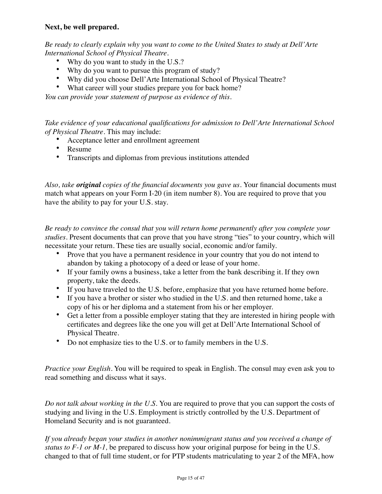#### **Next, be well prepared.**

*Be ready to clearly explain why you want to come to the United States to study at Dell'Arte International School of Physical Theatre.*

- Why do you want to study in the U.S.?
- Why do you want to pursue this program of study?
- Why did you choose Dell'Arte International School of Physical Theatre?
- What career will your studies prepare you for back home?

*You can provide your statement of purpose as evidence of this.* 

*Take evidence of your educational qualifications for admission to Dell'Arte International School of Physical Theatre.* This may include:

- Acceptance letter and enrollment agreement
- Resume
- Transcripts and diplomas from previous institutions attended

*Also, take original copies of the financial documents you gave us.* Your financial documents must match what appears on your Form I-20 (in item number 8). You are required to prove that you have the ability to pay for your U.S. stay.

*Be ready to convince the consul that you will return home permanently after you complete your studies.* Present documents that can prove that you have strong "ties" to your country, which will necessitate your return. These ties are usually social, economic and/or family.

- Prove that you have a permanent residence in your country that you do not intend to abandon by taking a photocopy of a deed or lease of your home.
- If your family owns a business, take a letter from the bank describing it. If they own property, take the deeds.
- If you have traveled to the U.S. before, emphasize that you have returned home before.
- If you have a brother or sister who studied in the U.S. and then returned home, take a copy of his or her diploma and a statement from his or her employer.
- Get a letter from a possible employer stating that they are interested in hiring people with certificates and degrees like the one you will get at Dell'Arte International School of Physical Theatre.
- Do not emphasize ties to the U.S. or to family members in the U.S.

*Practice your English.* You will be required to speak in English. The consul may even ask you to read something and discuss what it says.

*Do not talk about working in the U.S.* You are required to prove that you can support the costs of studying and living in the U.S. Employment is strictly controlled by the U.S. Department of Homeland Security and is not guaranteed.

*If you already began your studies in another nonimmigrant status and you received a change of status to F-1 or M-1,* be prepared to discuss how your original purpose for being in the U.S. changed to that of full time student, or for PTP students matriculating to year 2 of the MFA, how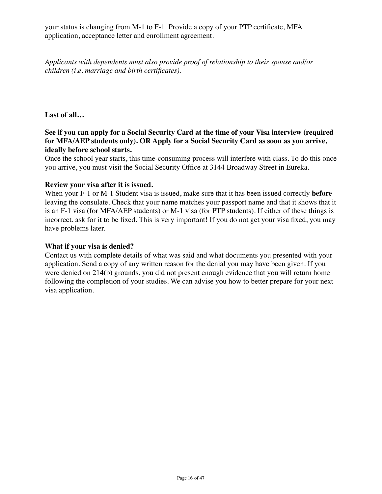your status is changing from M-1 to F-1. Provide a copy of your PTP certificate, MFA application, acceptance letter and enrollment agreement.

*Applicants with dependents must also provide proof of relationship to their spouse and/or children (i.e. marriage and birth certificates).*

**Last of all…**

#### **See if you can apply for a Social Security Card at the time of your Visa interview (required for MFA/AEP students only). OR Apply for a Social Security Card as soon as you arrive, ideally before school starts.**

Once the school year starts, this time-consuming process will interfere with class. To do this once you arrive, you must visit the Social Security Office at 3144 Broadway Street in Eureka.

#### **Review your visa after it is issued.**

When your F-1 or M-1 Student visa is issued, make sure that it has been issued correctly **before** leaving the consulate. Check that your name matches your passport name and that it shows that it is an F-1 visa (for MFA/AEP students) or M-1 visa (for PTP students). If either of these things is incorrect, ask for it to be fixed. This is very important! If you do not get your visa fixed, you may have problems later.

#### **What if your visa is denied?**

Contact us with complete details of what was said and what documents you presented with your application. Send a copy of any written reason for the denial you may have been given. If you were denied on 214(b) grounds, you did not present enough evidence that you will return home following the completion of your studies. We can advise you how to better prepare for your next visa application.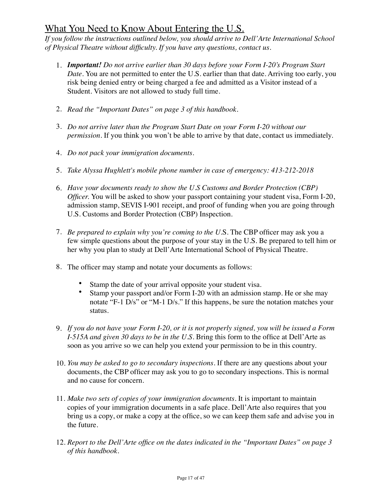## What You Need to Know About Entering the U.S.

*If you follow the instructions outlined below, you should arrive to Dell'Arte International School of Physical Theatre without difficulty. If you have any questions, contact us.*

- 1. *Important! Do not arrive earlier than 30 days before your Form I-20's Program Start Date.* You are not permitted to enter the U.S. earlier than that date. Arriving too early, you risk being denied entry or being charged a fee and admitted as a Visitor instead of a Student. Visitors are not allowed to study full time.
- 2. *Read the "Important Dates" on page 3 of this handbook.*
- 3. *Do not arrive later than the Program Start Date on your Form I-20 without our permission.* If you think you won't be able to arrive by that date, contact us immediately.
- 4. *Do not pack your immigration documents.*
- 5. *Take Alyssa Hughlett's mobile phone number in case of emergency: 413-212-2018*
- 6. *Have your documents ready to show the U.S Customs and Border Protection (CBP) Officer.* You will be asked to show your passport containing your student visa, Form I-20, admission stamp, SEVIS I-901 receipt, and proof of funding when you are going through U.S. Customs and Border Protection (CBP) Inspection.
- 7. *Be prepared to explain why you're coming to the U.*S. The CBP officer may ask you a few simple questions about the purpose of your stay in the U.S. Be prepared to tell him or her why you plan to study at Dell'Arte International School of Physical Theatre.
- 8. The officer may stamp and notate your documents as follows:
	- Stamp the date of your arrival opposite your student visa.
	- Stamp your passport and/or Form I-20 with an admission stamp. He or she may notate "F-1 D/s" or "M-1 D/s." If this happens, be sure the notation matches your status.
- 9. *If you do not have your Form I-20, or it is not properly signed, you will be issued a Form I-515A and given 30 days to be in the U.S.* Bring this form to the office at Dell'Arte as soon as you arrive so we can help you extend your permission to be in this country.
- 10. *You may be asked to go to secondary inspections.* If there are any questions about your documents, the CBP officer may ask you to go to secondary inspections. This is normal and no cause for concern.
- 11. *Make two sets of copies of your immigration documents.* It is important to maintain copies of your immigration documents in a safe place. Dell'Arte also requires that you bring us a copy, or make a copy at the office, so we can keep them safe and advise you in the future.
- 12. *Report to the Dell'Arte office on the dates indicated in the "Important Dates" on page 3 of this handbook.*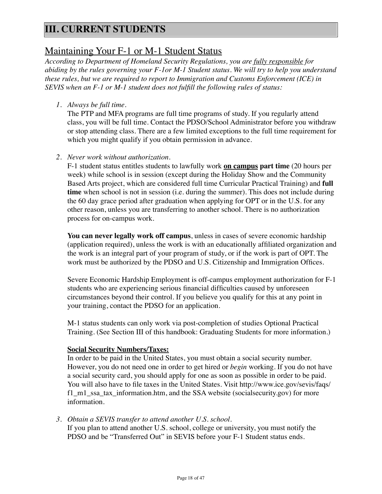# **III. CURRENT STUDENTS**

## Maintaining Your F-1 or M-1 Student Status

*According to Department of Homeland Security Regulations, you are fully responsible for abiding by the rules governing your F-1or M-1 Student status. We will try to help you understand these rules, but we are required to report to Immigration and Customs Enforcement (ICE) in SEVIS when an F-1 or M-1 student does not fulfill the following rules of status:*

*1. Always be full time.*

The PTP and MFA programs are full time programs of study. If you regularly attend class, you will be full time. Contact the PDSO/School Administrator before you withdraw or stop attending class. There are a few limited exceptions to the full time requirement for which you might qualify if you obtain permission in advance.

*2. Never work without authorization.*

F-1 student status entitles students to lawfully work **on campus part time** (20 hours per week) while school is in session (except during the Holiday Show and the Community Based Arts project, which are considered full time Curricular Practical Training) and **full time** when school is not in session (i.e. during the summer). This does not include during the 60 day grace period after graduation when applying for OPT or in the U.S. for any other reason, unless you are transferring to another school. There is no authorization process for on-campus work.

**You can never legally work off campus**, unless in cases of severe economic hardship (application required), unless the work is with an educationally affiliated organization and the work is an integral part of your program of study, or if the work is part of OPT. The work must be authorized by the PDSO and U.S. Citizenship and Immigration Offices.

Severe Economic Hardship Employment is off-campus employment authorization for F-1 students who are experiencing serious financial difficulties caused by unforeseen circumstances beyond their control. If you believe you qualify for this at any point in your training, contact the PDSO for an application.

M-1 status students can only work via post-completion of studies Optional Practical Training. (See Section III of this handbook: Graduating Students for more information.)

#### **Social Security Numbers/Taxes:**

In order to be paid in the United States, you must obtain a social security number. However, you do not need one in order to get hired or *begin* working. If you do not have a social security card, you should apply for one as soon as possible in order to be paid. You will also have to file taxes in the United States. Visit http://www.ice.gov/sevis/faqs/ f1\_m1\_ssa\_tax\_information.htm, and the SSA website (socialsecurity.gov) for more information.

*3. Obtain a SEVIS transfer to attend another U.S. school.*

If you plan to attend another U.S. school, college or university, you must notify the PDSO and be "Transferred Out" in SEVIS before your F-1 Student status ends.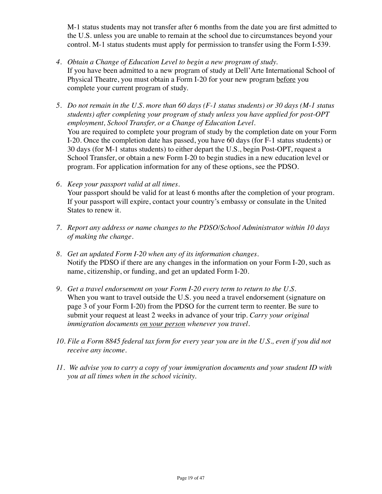M-1 status students may not transfer after 6 months from the date you are first admitted to the U.S. unless you are unable to remain at the school due to circumstances beyond your control. M-1 status students must apply for permission to transfer using the Form I-539.

- *4. Obtain a Change of Education Level to begin a new program of study.* If you have been admitted to a new program of study at Dell'Arte International School of Physical Theatre, you must obtain a Form I-20 for your new program before you complete your current program of study.
- *5. Do not remain in the U.S. more than 60 days (F-1 status students) or 30 days (M-1 status students) after completing your program of study unless you have applied for post-OPT employment, School Transfer, or a Change of Education Level.* You are required to complete your program of study by the completion date on your Form I-20. Once the completion date has passed, you have 60 days (for F-1 status students) or 30 days (for M-1 status students) to either depart the U.S., begin Post-OPT, request a School Transfer, or obtain a new Form I-20 to begin studies in a new education level or program. For application information for any of these options, see the PDSO.
- *6. Keep your passport valid at all times.* Your passport should be valid for at least 6 months after the completion of your program. If your passport will expire, contact your country's embassy or consulate in the United States to renew it.
- *7. Report any address or name changes to the PDSO/School Administrator within 10 days of making the change.*
- *8. Get an updated Form I-20 when any of its information changes.* Notify the PDSO if there are any changes in the information on your Form I-20, such as name, citizenship, or funding, and get an updated Form I-20.
- *9. Get a travel endorsement on your Form I-20 every term to return to the U.S.* When you want to travel outside the U.S. you need a travel endorsement (signature on page 3 of your Form I-20) from the PDSO for the current term to reenter. Be sure to submit your request at least 2 weeks in advance of your trip. *Carry your original immigration documents on your person whenever you travel.*
- *10. File a Form 8845 federal tax form for every year you are in the U.S., even if you did not receive any income.*
- *11. We advise you to carry a copy of your immigration documents and your student ID with you at all times when in the school vicinity.*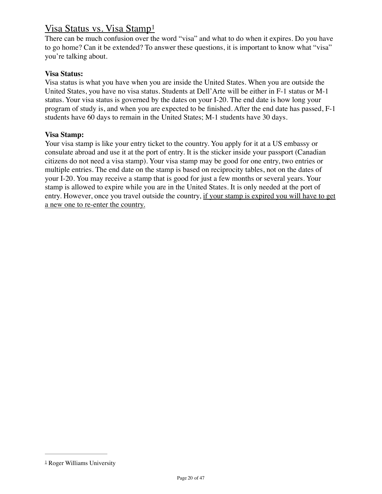## Visa Status vs. Visa Stamp[1](#page-19-0)

<span id="page-19-1"></span>There can be much confusion over the word "visa" and what to do when it expires. Do you have to go home? Can it be extended? To answer these questions, it is important to know what "visa" you're talking about.

#### **Visa Status:**

Visa status is what you have when you are inside the United States. When you are outside the United States, you have no visa status. Students at Dell'Arte will be either in F-1 status or M-1 status. Your visa status is governed by the dates on your I-20. The end date is how long your program of study is, and when you are expected to be finished. After the end date has passed, F-1 students have 60 days to remain in the United States; M-1 students have 30 days.

#### **Visa Stamp:**

Your visa stamp is like your entry ticket to the country. You apply for it at a US embassy or consulate abroad and use it at the port of entry. It is the sticker inside your passport (Canadian citizens do not need a visa stamp). Your visa stamp may be good for one entry, two entries or multiple entries. The end date on the stamp is based on reciprocity tables, not on the dates of your I-20. You may receive a stamp that is good for just a few months or several years. Your stamp is allowed to expire while you are in the United States. It is only needed at the port of entry. However, once you travel outside the country, if your stamp is expired you will have to get a new one to re-enter the country.

<span id="page-19-0"></span><sup>&</sup>lt;sup>[1](#page-19-1)</sup> Roger Williams University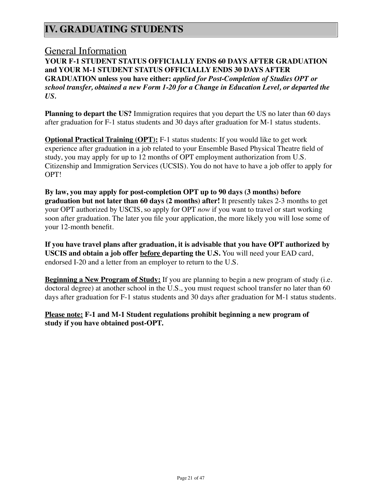# **IV. GRADUATING STUDENTS**

### General Information

**YOUR F-1 STUDENT STATUS OFFICIALLY ENDS 60 DAYS AFTER GRADUATION and YOUR M-1 STUDENT STATUS OFFICIALLY ENDS 30 DAYS AFTER GRADUATION unless you have either:** *applied for Post-Completion of Studies OPT or school transfer, obtained a new Form 1-20 for a Change in Education Level, or departed the US.*

**Planning to depart the US?** Immigration requires that you depart the US no later than 60 days after graduation for F-1 status students and 30 days after graduation for M-1 status students.

**Optional Practical Training (OPT):** F-1 status students: If you would like to get work experience after graduation in a job related to your Ensemble Based Physical Theatre field of study, you may apply for up to 12 months of OPT employment authorization from U.S. Citizenship and Immigration Services (UCSIS). You do not have to have a job offer to apply for OPT!

**By law, you may apply for post-completion OPT up to 90 days (3 months) before graduation but not later than 60 days (2 months) after!** It presently takes 2-3 months to get your OPT authorized by USCIS, so apply for OPT *now* if you want to travel or start working soon after graduation. The later you file your application, the more likely you will lose some of your 12-month benefit.

**If you have travel plans after graduation, it is advisable that you have OPT authorized by USCIS and obtain a job offer before departing the U.S.** You will need your EAD card, endorsed I-20 and a letter from an employer to return to the U.S.

**Beginning a New Program of Study:** If you are planning to begin a new program of study (i.e. doctoral degree) at another school in the U.S., you must request school transfer no later than 60 days after graduation for F-1 status students and 30 days after graduation for M-1 status students.

**Please note: F-1 and M-1 Student regulations prohibit beginning a new program of study if you have obtained post-OPT.**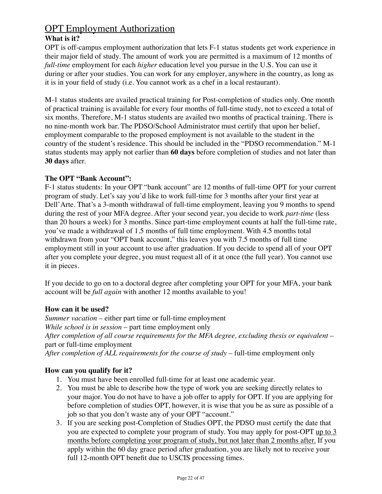# **OPT** Employment Authorization

### **What is it?**

OPT is off-campus employment authorization that lets F-1 status students get work experience in their major field of study. The amount of work you are permitted is a maximum of 12 months of *full-time* employment for each *higher* education level you pursue in the U.S. You can use it during or after your studies. You can work for any employer, anywhere in the country, as long as it is in your field of study (i.e. You cannot work as a chef in a local restaurant).

M-1 status students are availed practical training for Post-completion of studies only. One month of practical training is available for every four months of full-time study, not to exceed a total of six months. Therefore, M-1 status students are availed two months of practical training. There is no nine-month work bar. The PDSO/School Administrator must certify that upon her belief, employment comparable to the proposed employment is not available to the student in the country of the student's residence. This should be included in the "PDSO recommendation." M-1 status students may apply not earlier than **60 days** before completion of studies and not later than **30 days** after.

### **The OPT "Bank Account":**

F-1 status students: In your OPT "bank account" are 12 months of full-time OPT for your current program of study. Let's say you'd like to work full-time for 3 months after your first year at Dell'Arte. That's a 3-month withdrawal of full-time employment, leaving you 9 months to spend during the rest of your MFA degree. After your second year, you decide to work *part-time* (less than 20 hours a week) for 3 months. Since part-time employment counts at half the full-time rate, you've made a withdrawal of 1.5 months of full time employment. With 4.5 months total withdrawn from your "OPT bank account," this leaves you with 7.5 months of full time employment still in your account to use after graduation. If you decide to spend all of your OPT after you complete your degree, you must request all of it at once (the full year). You cannot use it in pieces.

If you decide to go on to a doctoral degree after completing your OPT for your MFA, your bank account will be *full again* with another 12 months available to you!

### **How can it be used?**

*Summer vacation –* either part time or full-time employment *While school is in session* – part time employment only *After completion of all course requirements for the MFA degree, excluding thesis or equivalent* – part or full-time employment *After completion of ALL requirements for the course of study* – full-time employment only

### **How can you qualify for it?**

- 1. You must have been enrolled full-time for at least one academic year.
- 2. You must be able to describe how the type of work you are seeking directly relates to your major. You do not have to have a job offer to apply for OPT. If you are applying for before completion of studies OPT, however, it is wise that you be as sure as possible of a job so that you don't waste any of your OPT "account."
- 3. If you are seeking post-Completion of Studies OPT, the PDSO must certify the date that you are expected to complete your program of study. You may apply for post-OPT up to 3 months before completing your program of study, but not later than 2 months after. If you apply within the 60 day grace period after graduation, you are likely not to receive your full 12-month OPT benefit due to USCIS processing times.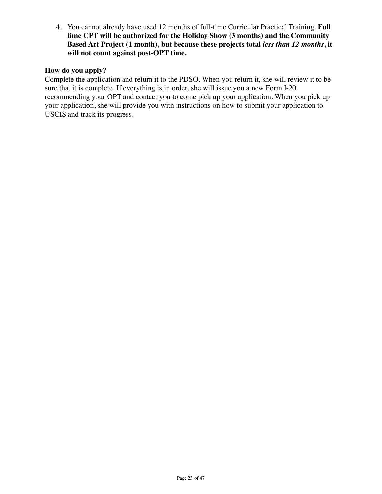4. You cannot already have used 12 months of full-time Curricular Practical Training. **Full time CPT will be authorized for the Holiday Show (3 months) and the Community Based Art Project (1 month), but because these projects total** *less than 12 months***, it will not count against post-OPT time.**

#### **How do you apply?**

Complete the application and return it to the PDSO. When you return it, she will review it to be sure that it is complete. If everything is in order, she will issue you a new Form I-20 recommending your OPT and contact you to come pick up your application. When you pick up your application, she will provide you with instructions on how to submit your application to USCIS and track its progress.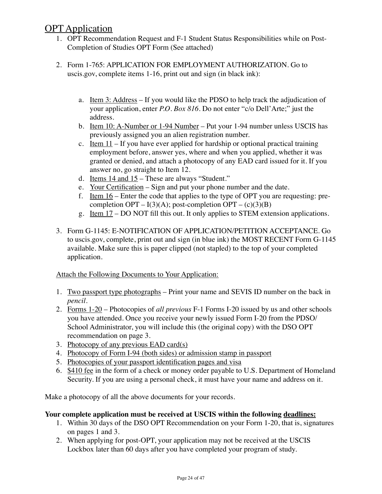## **OPT** Application

- 1. OPT Recommendation Request and F-1 Student Status Responsibilities while on Post-Completion of Studies OPT Form (See attached)
- 2. Form 1-765: APPLICATION FOR EMPLOYMENT AUTHORIZATION. Go to uscis.gov, complete items 1-16, print out and sign (in black ink):
	- a. Item 3: Address If you would like the PDSO to help track the adjudication of your application, enter *P.O. Box 816*. Do not enter "c/o Dell'Arte;" just the address.
	- b. Item 10: A-Number or 1-94 Number Put your 1-94 number unless USCIS has previously assigned you an alien registration number.
	- c. Item  $11$  If you have ever applied for hardship or optional practical training employment before, answer yes, where and when you applied, whether it was granted or denied, and attach a photocopy of any EAD card issued for it. If you answer no, go straight to Item 12.
	- d. Items 14 and 15 These are always "Student."
	- e. Your Certification Sign and put your phone number and the date.
	- f. Item 16 Enter the code that applies to the type of OPT you are requesting: precompletion  $OPT - I(3)(A)$ ; post-completion  $OPT - (c)(3)(B)$
	- g. Item 17 DO NOT fill this out. It only applies to STEM extension applications.
- 3. Form G-1145: E-NOTIFICATION OF APPLICATION/PETITION ACCEPTANCE. Go to uscis.gov, complete, print out and sign (in blue ink) the MOST RECENT Form G-1145 available. Make sure this is paper clipped (not stapled) to the top of your completed application.

### Attach the Following Documents to Your Application:

- 1. Two passport type photographs Print your name and SEVIS ID number on the back in *pencil.*
- 2. Forms 1-20 Photocopies of *all previous* F-1 Forms I-20 issued by us and other schools you have attended. Once you receive your newly issued Form I-20 from the PDSO/ School Administrator, you will include this (the original copy) with the DSO OPT recommendation on page 3.
- 3. Photocopy of any previous EAD card(s)
- 4. Photocopy of Form I-94 (both sides) or admission stamp in passport
- 5. Photocopies of your passport identification pages and visa
- 6. \$410 fee in the form of a check or money order payable to U.S. Department of Homeland Security. If you are using a personal check, it must have your name and address on it.

Make a photocopy of all the above documents for your records.

### **Your complete application must be received at USCIS within the following deadlines:**

- 1. Within 30 days of the DSO OPT Recommendation on your Form 1-20, that is, signatures on pages 1 and 3.
- 2. When applying for post-OPT, your application may not be received at the USCIS Lockbox later than 60 days after you have completed your program of study.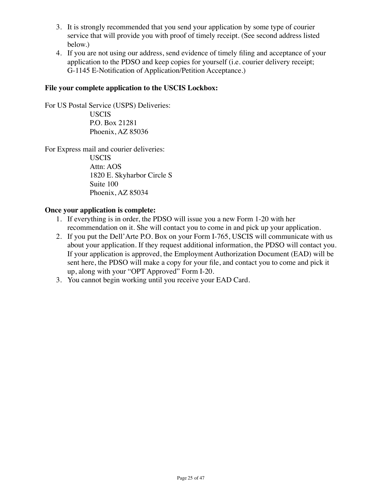- 3. It is strongly recommended that you send your application by some type of courier service that will provide you with proof of timely receipt. (See second address listed below.)
- 4. If you are not using our address, send evidence of timely filing and acceptance of your application to the PDSO and keep copies for yourself (i.e. courier delivery receipt; G-1145 E-Notification of Application/Petition Acceptance.)

#### **File your complete application to the USCIS Lockbox:**

For US Postal Service (USPS) Deliveries: USCIS P.O. Box 21281 Phoenix, AZ 85036

For Express mail and courier deliveries: USCIS Attn: AOS 1820 E. Skyharbor Circle S Suite 100 Phoenix, AZ 85034

#### **Once your application is complete:**

- 1. If everything is in order, the PDSO will issue you a new Form 1-20 with her recommendation on it. She will contact you to come in and pick up your application.
- 2. If you put the Dell'Arte P.O. Box on your Form I-765, USCIS will communicate with us about your application. If they request additional information, the PDSO will contact you. If your application is approved, the Employment Authorization Document (EAD) will be sent here, the PDSO will make a copy for your file, and contact you to come and pick it up, along with your "OPT Approved" Form I-20.
- 3. You cannot begin working until you receive your EAD Card.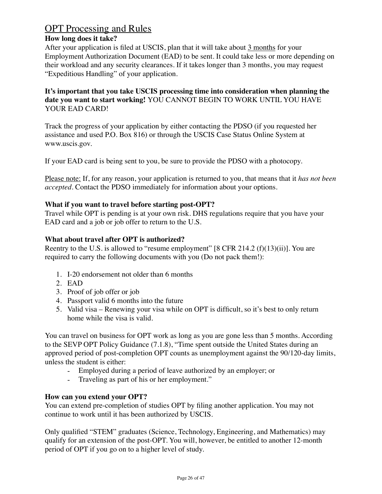# OPT Processing and Rules

#### **How long does it take?**

After your application is filed at USCIS, plan that it will take about 3 months for your Employment Authorization Document (EAD) to be sent. It could take less or more depending on their workload and any security clearances. If it takes longer than 3 months, you may request "Expeditious Handling" of your application.

#### **It's important that you take USCIS processing time into consideration when planning the date you want to start working!** YOU CANNOT BEGIN TO WORK UNTIL YOU HAVE YOUR EAD CARD!

Track the progress of your application by either contacting the PDSO (if you requested her assistance and used P.O. Box 816) or through the USCIS Case Status Online System at www.uscis.gov.

If your EAD card is being sent to you, be sure to provide the PDSO with a photocopy.

Please note: If, for any reason, your application is returned to you, that means that it *has not been accepted.* Contact the PDSO immediately for information about your options.

#### **What if you want to travel before starting post-OPT?**

Travel while OPT is pending is at your own risk. DHS regulations require that you have your EAD card and a job or job offer to return to the U.S.

#### **What about travel after OPT is authorized?**

Reentry to the U.S. is allowed to "resume employment"  $[8 \text{ CFR } 214.2 \text{ (f)}(13)(ii)]$ . You are required to carry the following documents with you (Do not pack them!):

- 1. I-20 endorsement not older than 6 months
- 2. EAD
- 3. Proof of job offer or job
- 4. Passport valid 6 months into the future
- 5. Valid visa Renewing your visa while on OPT is difficult, so it's best to only return home while the visa is valid.

You can travel on business for OPT work as long as you are gone less than 5 months. According to the SEVP OPT Policy Guidance (7.1.8), "Time spent outside the United States during an approved period of post-completion OPT counts as unemployment against the 90/120-day limits, unless the student is either:

- Employed during a period of leave authorized by an employer; or
- Traveling as part of his or her employment."

#### **How can you extend your OPT?**

You can extend pre-completion of studies OPT by filing another application. You may not continue to work until it has been authorized by USCIS.

Only qualified "STEM" graduates (Science, Technology, Engineering, and Mathematics) may qualify for an extension of the post-OPT. You will, however, be entitled to another 12-month period of OPT if you go on to a higher level of study.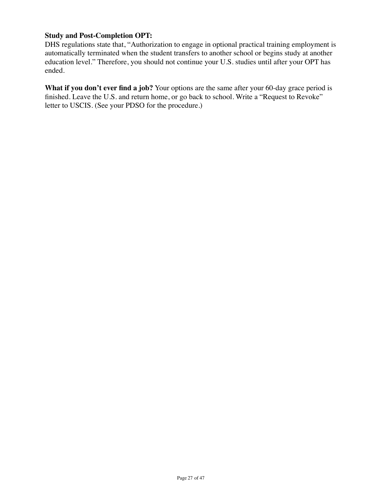#### **Study and Post-Completion OPT:**

DHS regulations state that, "Authorization to engage in optional practical training employment is automatically terminated when the student transfers to another school or begins study at another education level." Therefore, you should not continue your U.S. studies until after your OPT has ended.

What if you don't ever find a job? Your options are the same after your 60-day grace period is finished. Leave the U.S. and return home, or go back to school. Write a "Request to Revoke" letter to USCIS. (See your PDSO for the procedure.)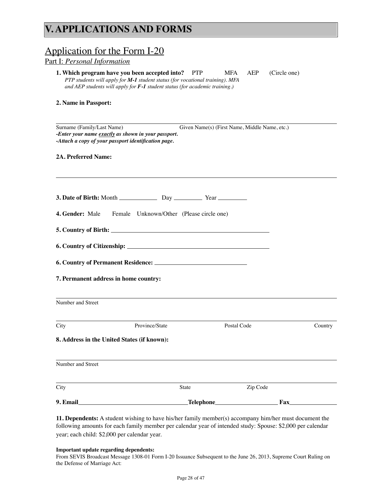# **V. APPLICATIONS AND FORMS**

| <u>Application for the Form I-20</u><br>Part I: Personal Information                                                                      |                                                                                                                                                                                                                      |                                               |          |              |         |
|-------------------------------------------------------------------------------------------------------------------------------------------|----------------------------------------------------------------------------------------------------------------------------------------------------------------------------------------------------------------------|-----------------------------------------------|----------|--------------|---------|
|                                                                                                                                           | 1. Which program have you been accepted into? PTP<br>PTP students will apply for M-1 student status (for vocational training). MFA<br>and AEP students will apply for $F$ -1 student status (for academic training.) | MFA                                           | AEP      | (Circle one) |         |
| 2. Name in Passport:                                                                                                                      |                                                                                                                                                                                                                      |                                               |          |              |         |
| Surname (Family/Last Name)<br>-Enter your name exactly as shown in your passport.<br>-Attach a copy of your passport identification page. |                                                                                                                                                                                                                      | Given Name(s) (First Name, Middle Name, etc.) |          |              |         |
| 2A. Preferred Name:                                                                                                                       |                                                                                                                                                                                                                      |                                               |          |              |         |
|                                                                                                                                           |                                                                                                                                                                                                                      |                                               |          |              |         |
|                                                                                                                                           |                                                                                                                                                                                                                      |                                               |          |              |         |
| 4. Gender: Male                                                                                                                           | Female Unknown/Other (Please circle one)                                                                                                                                                                             |                                               |          |              |         |
|                                                                                                                                           |                                                                                                                                                                                                                      |                                               |          |              |         |
|                                                                                                                                           |                                                                                                                                                                                                                      |                                               |          |              |         |
|                                                                                                                                           |                                                                                                                                                                                                                      |                                               |          |              |         |
| 7. Permanent address in home country:                                                                                                     |                                                                                                                                                                                                                      |                                               |          |              |         |
| Number and Street                                                                                                                         |                                                                                                                                                                                                                      |                                               |          |              |         |
| City                                                                                                                                      | Province/State                                                                                                                                                                                                       | Postal Code                                   |          |              | Country |
| 8. Address in the United States (if known):                                                                                               |                                                                                                                                                                                                                      |                                               |          |              |         |
| Number and Street                                                                                                                         |                                                                                                                                                                                                                      |                                               |          |              |         |
| City                                                                                                                                      | State                                                                                                                                                                                                                |                                               | Zip Code |              |         |
| 9. Email                                                                                                                                  |                                                                                                                                                                                                                      |                                               |          | Fax          |         |

**11. Dependents:** A student wishing to have his/her family member(s) accompany him/her must document the following amounts for each family member per calendar year of intended study: Spouse: \$2,000 per calendar year; each child: \$2,000 per calendar year.

#### **Important update regarding dependents:**

From SEVIS Broadcast Message 1308-01 Form I-20 Issuance Subsequent to the June 26, 2013, Supreme Court Ruling on the Defense of Marriage Act: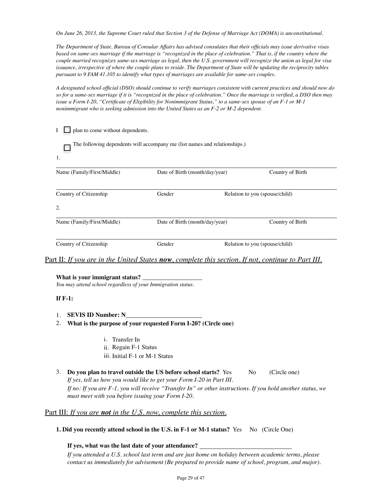*On June 26, 2013, the Supreme Court ruled that Section 3 of the Defense of Marriage Act (DOMA) is unconstitutional.* 

*The Department of State, Bureau of Consular Affairs has advised consulates that their officials may issue derivative visas*  based on same-sex marriage if the marriage is "recognized in the place of celebration." That is, if the country where the *couple married recognizes same-sex marriage as legal, then the U.S. government will recognize the union as legal for visa issuance, irrespective of where the couple plans to reside. The Department of State will be updating the reciprocity tables pursuant to 9 FAM 41.105 to identify what types of marriages are available for same-sex couples.* 

*A designated school official (DSO) should continue to verify marriages consistent with current practices and should now do so for a same-sex marriage if it is "recognized in the place of celebration." Once the marriage is verified, a DSO then may issue a Form I-20, "Certificate of Eligibility for Nonimmigrant Status," to a same-sex spouse of an F-1 or M-1 nonimmigrant who is seeking admission into the United States as an F-2 or M-2 dependent.*

| plan to come without dependents. |                                                                            |                                |  |  |
|----------------------------------|----------------------------------------------------------------------------|--------------------------------|--|--|
| 1.                               | The following dependents will accompany me (list names and relationships.) |                                |  |  |
| Name (Family/First/Middle)       | Date of Birth (month/day/year)                                             | Country of Birth               |  |  |
| Country of Citizenship           | Gender                                                                     | Relation to you (spouse/child) |  |  |
| 2.                               |                                                                            |                                |  |  |
| Name (Family/First/Middle)       | Date of Birth (month/day/year)                                             | Country of Birth               |  |  |
| Country of Citizenship           | Gender                                                                     | Relation to you (spouse/child) |  |  |

#### Part II: *If you are in the United States now, complete this section. If not, continue to Part III.*

#### **What is your immigrant status?**

*You may attend school regardless of your Immigration status.*

#### **If F-1:**

- 1. **SEVIS ID Number: N**
- 2. **What is the purpose of your requested Form I-20? (Circle one)**
	- i. Transfer In
	- ii. Regain F-1 Status
	- iii. Initial F-1 or M-1 Status
- 3. **Do you plan to travel outside the US before school starts?** Yes No (Circle one) *If yes, tell us how you would like to get your Form I-20 in Part III. If no: If you are F-1, you will receive "Transfer In" or other instructions. If you hold another status, we must meet with you before issuing your Form I-20.*

#### Part III: *If you are not in the U.S. now, complete this section.*

**1. Did you recently attend school in the U.S. in F-1 or M-1 status?** Yes No (Circle One)

**If yes, what was the last date of your attendance?** 

*If you attended a U.S. school last term and are just home on holiday between academic terms, please contact us immediately for advisement (Be prepared to provide name of school, program, and major).*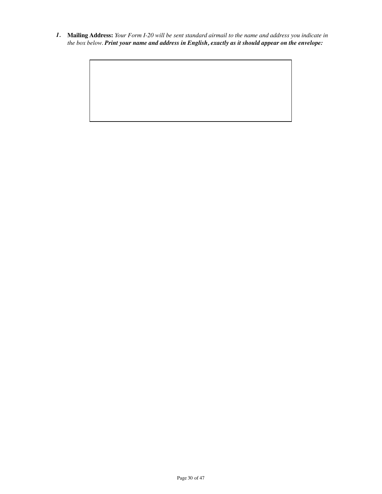*1.* **Mailing Address:** *Your Form I-20 will be sent standard airmail to the name and address you indicate in the box below. Print your name and address in English, exactly as it should appear on the envelope:*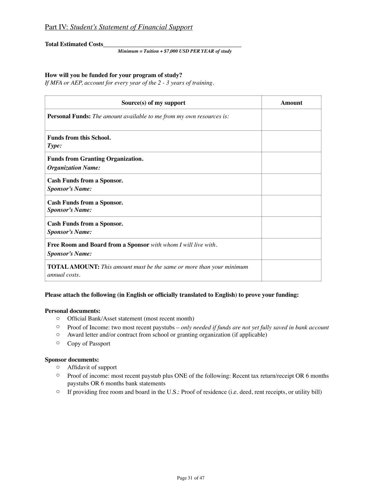**Total Estimated Costs**

*Minimum = Tuition + \$7,000 USD PER YEAR of study*

#### **How will you be funded for your program of study?**

*If MFA or AEP, account for every year of the 2 - 3 years of training.*

| Source(s) of my support                                                                             | <b>Amount</b> |
|-----------------------------------------------------------------------------------------------------|---------------|
| <b>Personal Funds:</b> The amount available to me from my own resources is:                         |               |
| Funds from this School.<br>Type:                                                                    |               |
| <b>Funds from Granting Organization.</b><br><b>Organization Name:</b>                               |               |
| <b>Cash Funds from a Sponsor.</b><br><b>Sponsor's Name:</b>                                         |               |
| <b>Cash Funds from a Sponsor.</b><br><b>Sponsor's Name:</b>                                         |               |
| <b>Cash Funds from a Sponsor.</b><br><b>Sponsor's Name:</b>                                         |               |
| Free Room and Board from a Sponsor with whom I will live with.<br><b>Sponsor's Name:</b>            |               |
| <b>TOTAL AMOUNT:</b> This amount must be the same or more than your minimum<br><i>annual costs.</i> |               |

#### **Please attach the following (in English or officially translated to English) to prove your funding:**

#### **Personal documents:**

- o Official Bank/Asset statement (most recent month)
- o Proof of Income: two most recent paystubs *only needed if funds are not yet fully saved in bank account*
- o Award letter and/or contract from school or granting organization (if applicable)
- o Copy of Passport

#### **Sponsor documents:**

- o Affidavit of support
- o Proof of income: most recent paystub plus ONE of the following: Recent tax return/receipt OR 6 months paystubs OR 6 months bank statements
- $\circ$  If providing free room and board in the U.S.: Proof of residence (i.e. deed, rent receipts, or utility bill)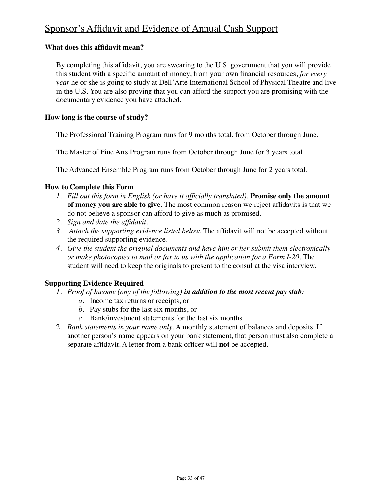# Sponsor's Affidavit and Evidence of Annual Cash Support

#### **What does this affidavit mean?**

By completing this affidavit, you are swearing to the U.S. government that you will provide this student with a specific amount of money, from your own financial resources, *for every year* he or she is going to study at Dell'Arte International School of Physical Theatre and live in the U.S. You are also proving that you can afford the support you are promising with the documentary evidence you have attached.

#### **How long is the course of study?**

The Professional Training Program runs for 9 months total, from October through June.

The Master of Fine Arts Program runs from October through June for 3 years total.

The Advanced Ensemble Program runs from October through June for 2 years total.

#### **How to Complete this Form**

- *1. Fill out this form in English (or have it officially translated).* **Promise only the amount of money you are able to give.** The most common reason we reject affidavits is that we do not believe a sponsor can afford to give as much as promised.
- *2. Sign and date the affidavit.*
- *3. Attach the supporting evidence listed below.* The affidavit will not be accepted without the required supporting evidence.
- *4. Give the student the original documents and have him or her submit them electronically or make photocopies to mail or fax to us with the application for a Form I-20.* The student will need to keep the originals to present to the consul at the visa interview.

### **Supporting Evidence Required**

- *1. Proof of Income (any of the following) in addition to the most recent pay stub:*
	- *a.* Income tax returns or receipts, or
	- *b.* Pay stubs for the last six months, or
	- *c.* Bank/investment statements for the last six months
- 2. *Bank statements in your name only.* A monthly statement of balances and deposits. If another person's name appears on your bank statement, that person must also complete a separate affidavit. A letter from a bank officer will **not** be accepted.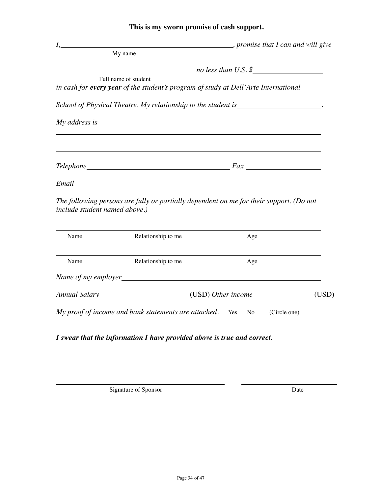### **This is my sworn promise of cash support.**

|                               |                                                             | <i>I</i> , <i>promise that I can and will give</i>                                      |       |
|-------------------------------|-------------------------------------------------------------|-----------------------------------------------------------------------------------------|-------|
|                               | My name                                                     |                                                                                         |       |
|                               |                                                             | $[no\,\,less\,\,than\,\,U.S.\,\,$$                                                      |       |
|                               | Full name of student                                        | in cash for every year of the student's program of study at Dell'Arte International     |       |
|                               |                                                             | School of Physical Theatre. My relationship to the student is____________________       |       |
| My address is                 |                                                             |                                                                                         |       |
|                               |                                                             |                                                                                         |       |
|                               |                                                             |                                                                                         |       |
|                               |                                                             |                                                                                         |       |
| include student named above.) |                                                             | The following persons are fully or partially dependent on me for their support. (Do not |       |
| Name                          | Relationship to me                                          | Age                                                                                     |       |
| Name                          | Relationship to me                                          | Age                                                                                     |       |
|                               |                                                             |                                                                                         |       |
|                               |                                                             | Annual Salary (USD) Other income                                                        | (USD) |
|                               | My proof of income and bank statements are attached. Yes No | (Circle one)                                                                            |       |

*I swear that the information I have provided above is true and correct.*

Signature of Sponsor Date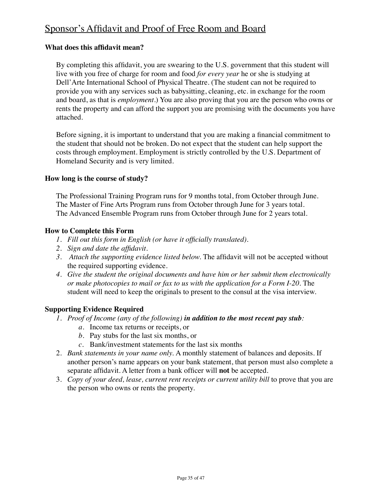# Sponsor's Affidavit and Proof of Free Room and Board

#### **What does this affidavit mean?**

By completing this affidavit, you are swearing to the U.S. government that this student will live with you free of charge for room and food *for every year* he or she is studying at Dell'Arte International School of Physical Theatre. (The student can not be required to provide you with any services such as babysitting, cleaning, etc. in exchange for the room and board, as that is *employment.*) You are also proving that you are the person who owns or rents the property and can afford the support you are promising with the documents you have attached.

Before signing, it is important to understand that you are making a financial commitment to the student that should not be broken. Do not expect that the student can help support the costs through employment. Employment is strictly controlled by the U.S. Department of Homeland Security and is very limited.

#### **How long is the course of study?**

The Professional Training Program runs for 9 months total, from October through June. The Master of Fine Arts Program runs from October through June for 3 years total. The Advanced Ensemble Program runs from October through June for 2 years total.

#### **How to Complete this Form**

- *1. Fill out this form in English (or have it officially translated).*
- *2. Sign and date the affidavit.*
- *3. Attach the supporting evidence listed below.* The affidavit will not be accepted without the required supporting evidence.
- *4. Give the student the original documents and have him or her submit them electronically or make photocopies to mail or fax to us with the application for a Form I-20.* The student will need to keep the originals to present to the consul at the visa interview.

#### **Supporting Evidence Required**

- *1. Proof of Income (any of the following) in addition to the most recent pay stub:*
	- *a.* Income tax returns or receipts, or
	- *b.* Pay stubs for the last six months, or
	- *c.* Bank/investment statements for the last six months
- 2. *Bank statements in your name only.* A monthly statement of balances and deposits. If another person's name appears on your bank statement, that person must also complete a separate affidavit. A letter from a bank officer will **not** be accepted.
- 3. *Copy of your deed, lease, current rent receipts or current utility bill* to prove that you are the person who owns or rents the property.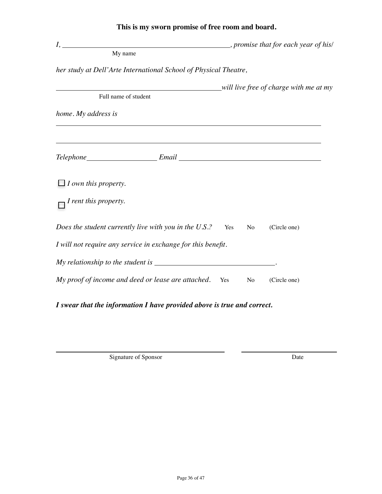| $I, \underline{\hspace{2cm}}$                                                    |     |    | $\blacksquare$ , promise that for each year of his/ |
|----------------------------------------------------------------------------------|-----|----|-----------------------------------------------------|
| My name                                                                          |     |    |                                                     |
| her study at Dell'Arte International School of Physical Theatre,                 |     |    |                                                     |
|                                                                                  |     |    | will live free of charge with me at my              |
| Full name of student                                                             |     |    |                                                     |
| home. My address is                                                              |     |    |                                                     |
| ,我们也不会有什么。""我们的人,我们也不会有什么?""我们的人,我们也不会有什么?""我们的人,我们也不会有什么?""我们的人,我们也不会有什么?""我们的人 |     |    |                                                     |
|                                                                                  |     |    |                                                     |
| $\Box$ I own this property.                                                      |     |    |                                                     |
| I rent this property.                                                            |     |    |                                                     |
| Does the student currently live with you in the $U.S.$ ?                         | Yes | No | (Circle one)                                        |
| I will not require any service in exchange for this benefit.                     |     |    |                                                     |
|                                                                                  |     |    |                                                     |
| My proof of income and deed or lease are attached. Yes                           |     | No | (Circle one)                                        |
|                                                                                  |     |    |                                                     |

**This is my sworn promise of free room and board.**

*I swear that the information I have provided above is true and correct.*

Signature of Sponsor Date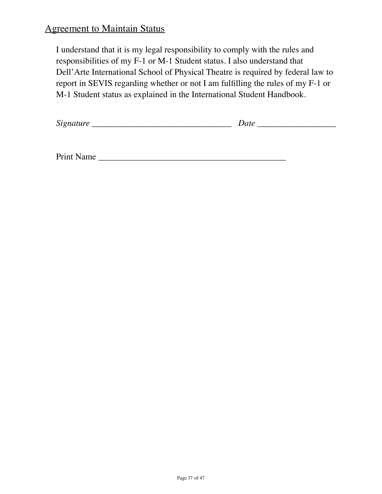# Agreement to Maintain Status

I understand that it is my legal responsibility to comply with the rules and responsibilities of my F-1 or M-1 Student status. I also understand that Dell'Arte International School of Physical Theatre is required by federal law to report in SEVIS regarding whether or not I am fulfilling the rules of my F-1 or M-1 Student status as explained in the International Student Handbook.

| $\sim$<br>້ |  |
|-------------|--|
|-------------|--|

| <b>Print Name</b> |
|-------------------|
|-------------------|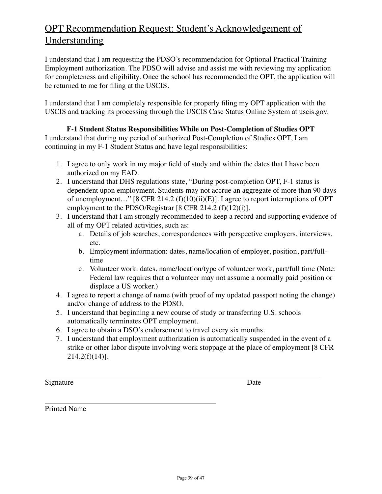# OPT Recommendation Request: Student's Acknowledgement of Understanding

I understand that I am requesting the PDSO's recommendation for Optional Practical Training Employment authorization. The PDSO will advise and assist me with reviewing my application for completeness and eligibility. Once the school has recommended the OPT, the application will be returned to me for filing at the USCIS.

I understand that I am completely responsible for properly filing my OPT application with the USCIS and tracking its processing through the USCIS Case Status Online System at uscis.gov.

### **F-1 Student Status Responsibilities While on Post-Completion of Studies OPT**

I understand that during my period of authorized Post-Completion of Studies OPT, I am continuing in my F-1 Student Status and have legal responsibilities:

- 1. I agree to only work in my major field of study and within the dates that I have been authorized on my EAD.
- 2. I understand that DHS regulations state, "During post-completion OPT, F-1 status is dependent upon employment. Students may not accrue an aggregate of more than 90 days of unemployment…" [8 CFR 214.2 (f)(10)(ii)(E)]. I agree to report interruptions of OPT employment to the PDSO/Registrar [8 CFR 214.2 (f)(12)(i)].
- 3. I understand that I am strongly recommended to keep a record and supporting evidence of all of my OPT related activities, such as:
	- a. Details of job searches, correspondences with perspective employers, interviews, etc.
	- b. Employment information: dates, name/location of employer, position, part/fulltime
	- c. Volunteer work: dates, name/location/type of volunteer work, part/full time (Note: Federal law requires that a volunteer may not assume a normally paid position or displace a US worker.)
- 4. I agree to report a change of name (with proof of my updated passport noting the change) and/or change of address to the PDSO.
- 5. I understand that beginning a new course of study or transferring U.S. schools automatically terminates OPT employment.
- 6. I agree to obtain a DSO's endorsement to travel every six months.
- 7. I understand that employment authorization is automatically suspended in the event of a strike or other labor dispute involving work stoppage at the place of employment [8 CFR  $214.2(f)(14)$ ].

Signature Date

Printed Name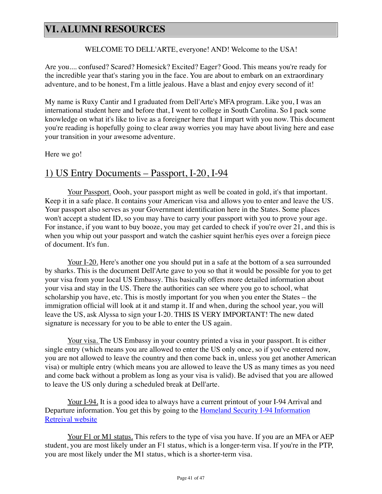# **VI. ALUMNI RESOURCES**

#### WELCOME TO DELL'ARTE, everyone! AND! Welcome to the USA!

Are you.... confused? Scared? Homesick? Excited? Eager? Good. This means you're ready for the incredible year that's staring you in the face. You are about to embark on an extraordinary adventure, and to be honest, I'm a little jealous. Have a blast and enjoy every second of it!

My name is Ruxy Cantir and I graduated from Dell'Arte's MFA program. Like you, I was an international student here and before that, I went to college in South Carolina. So I pack some knowledge on what it's like to live as a foreigner here that I impart with you now. This document you're reading is hopefully going to clear away worries you may have about living here and ease your transition in your awesome adventure.

Here we go!

### 1) US Entry Documents – Passport, I-20, I-94

Your Passport. Oooh, your passport might as well be coated in gold, it's that important. Keep it in a safe place. It contains your American visa and allows you to enter and leave the US. Your passport also serves as your Government identification here in the States. Some places won't accept a student ID, so you may have to carry your passport with you to prove your age. For instance, if you want to buy booze, you may get carded to check if you're over 21, and this is when you whip out your passport and watch the cashier squint her/his eyes over a foreign piece of document. It's fun.

Your I-20. Here's another one you should put in a safe at the bottom of a sea surrounded by sharks. This is the document Dell'Arte gave to you so that it would be possible for you to get your visa from your local US Embassy. This basically offers more detailed information about your visa and stay in the US. There the authorities can see where you go to school, what scholarship you have, etc. This is mostly important for you when you enter the States – the immigration official will look at it and stamp it. If and when, during the school year, you will leave the US, ask Alyssa to sign your I-20. THIS IS VERY IMPORTANT! The new dated signature is necessary for you to be able to enter the US again.

Your visa. The US Embassy in your country printed a visa in your passport. It is either single entry (which means you are allowed to enter the US only once, so if you've entered now, you are not allowed to leave the country and then come back in, unless you get another American visa) or multiple entry (which means you are allowed to leave the US as many times as you need and come back without a problem as long as your visa is valid). Be advised that you are allowed to leave the US only during a scheduled break at Dell'arte.

Your I-94. It is a good idea to always have a current printout of your I-94 Arrival and Departure information. You get this by going to the **Homeland Security I-94 Information** Retreival website

Your F1 or M1 status. This refers to the type of visa you have. If you are an MFA or AEP student, you are most likely under an F1 status, which is a longer-term visa. If you're in the PTP, you are most likely under the M1 status, which is a shorter-term visa.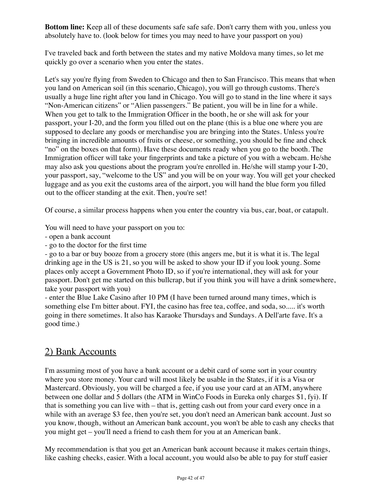**Bottom line:** Keep all of these documents safe safe safe. Don't carry them with you, unless you absolutely have to. (look below for times you may need to have your passport on you)

I've traveled back and forth between the states and my native Moldova many times, so let me quickly go over a scenario when you enter the states.

Let's say you're flying from Sweden to Chicago and then to San Francisco. This means that when you land on American soil (in this scenario, Chicago), you will go through customs. There's usually a huge line right after you land in Chicago. You will go to stand in the line where it says "Non-American citizens" or "Alien passengers." Be patient, you will be in line for a while. When you get to talk to the Immigration Officer in the booth, he or she will ask for your passport, your I-20, and the form you filled out on the plane (this is a blue one where you are supposed to declare any goods or merchandise you are bringing into the States. Unless you're bringing in incredible amounts of fruits or cheese, or something, you should be fine and check "no" on the boxes on that form). Have these documents ready when you go to the booth. The Immigration officer will take your fingerprints and take a picture of you with a webcam. He/she may also ask you questions about the program you're enrolled in. He/she will stamp your I-20, your passport, say, "welcome to the US" and you will be on your way. You will get your checked luggage and as you exit the customs area of the airport, you will hand the blue form you filled out to the officer standing at the exit. Then, you're set!

Of course, a similar process happens when you enter the country via bus, car, boat, or catapult.

You will need to have your passport on you to:

- open a bank account
- go to the doctor for the first time

- go to a bar or buy booze from a grocery store (this angers me, but it is what it is. The legal drinking age in the US is 21, so you will be asked to show your ID if you look young. Some places only accept a Government Photo ID, so if you're international, they will ask for your passport. Don't get me started on this bullcrap, but if you think you will have a drink somewhere, take your passport with you)

- enter the Blue Lake Casino after 10 PM (I have been turned around many times, which is something else I'm bitter about. FYI, the casino has free tea, coffee, and soda, so..... it's worth going in there sometimes. It also has Karaoke Thursdays and Sundays. A Dell'arte fave. It's a good time.)

## 2) Bank Accounts

I'm assuming most of you have a bank account or a debit card of some sort in your country where you store money. Your card will most likely be usable in the States, if it is a Visa or Mastercard. Obviously, you will be charged a fee, if you use your card at an ATM, anywhere between one dollar and 5 dollars (the ATM in WinCo Foods in Eureka only charges \$1, fyi). If that is something you can live with – that is, getting cash out from your card every once in a while with an average \$3 fee, then you're set, you don't need an American bank account. Just so you know, though, without an American bank account, you won't be able to cash any checks that you might get – you'll need a friend to cash them for you at an American bank.

My recommendation is that you get an American bank account because it makes certain things, like cashing checks, easier. With a local account, you would also be able to pay for stuff easier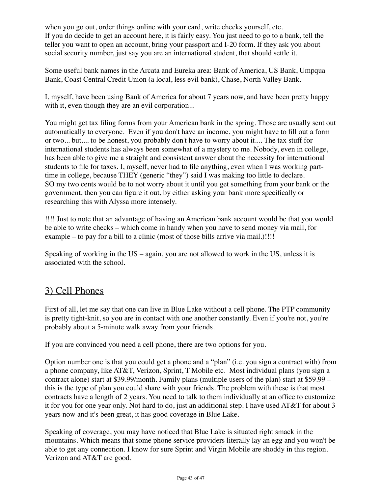when you go out, order things online with your card, write checks yourself, etc. If you do decide to get an account here, it is fairly easy. You just need to go to a bank, tell the teller you want to open an account, bring your passport and I-20 form. If they ask you about social security number, just say you are an international student, that should settle it.

Some useful bank names in the Arcata and Eureka area: Bank of America, US Bank, Umpqua Bank, Coast Central Credit Union (a local, less evil bank), Chase, North Valley Bank.

I, myself, have been using Bank of America for about 7 years now, and have been pretty happy with it, even though they are an evil corporation...

You might get tax filing forms from your American bank in the spring. Those are usually sent out automatically to everyone. Even if you don't have an income, you might have to fill out a form or two... but.... to be honest, you probably don't have to worry about it.... The tax stuff for international students has always been somewhat of a mystery to me. Nobody, even in college, has been able to give me a straight and consistent answer about the necessity for international students to file for taxes. I, myself, never had to file anything, even when I was working parttime in college, because THEY (generic "they") said I was making too little to declare. SO my two cents would be to not worry about it until you get something from your bank or the government, then you can figure it out, by either asking your bank more specifically or researching this with Alyssa more intensely.

!!!! Just to note that an advantage of having an American bank account would be that you would be able to write checks – which come in handy when you have to send money via mail, for example – to pay for a bill to a clinic (most of those bills arrive via mail.)!!!!

Speaking of working in the US – again, you are not allowed to work in the US, unless it is associated with the school.

# 3) Cell Phones

First of all, let me say that one can live in Blue Lake without a cell phone. The PTP community is pretty tight-knit, so you are in contact with one another constantly. Even if you're not, you're probably about a 5-minute walk away from your friends.

If you are convinced you need a cell phone, there are two options for you.

Option number one is that you could get a phone and a "plan" (i.e. you sign a contract with) from a phone company, like AT&T, Verizon, Sprint, T Mobile etc. Most individual plans (you sign a contract alone) start at \$39.99/month. Family plans (multiple users of the plan) start at \$59.99 – this is the type of plan you could share with your friends. The problem with these is that most contracts have a length of 2 years. You need to talk to them individually at an office to customize it for you for one year only. Not hard to do, just an additional step. I have used AT&T for about 3 years now and it's been great, it has good coverage in Blue Lake.

Speaking of coverage, you may have noticed that Blue Lake is situated right smack in the mountains. Which means that some phone service providers literally lay an egg and you won't be able to get any connection. I know for sure Sprint and Virgin Mobile are shoddy in this region. Verizon and AT&T are good.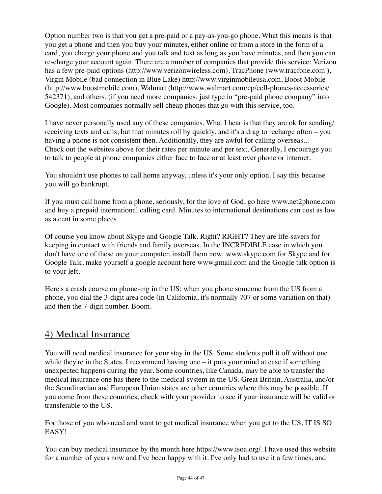Option number two is that you get a pre-paid or a pay-as-you-go phone. What this means is that you get a phone and then you buy your minutes, either online or from a store in the form of a card, you charge your phone and you talk and text as long as you have minutes, and then you can re-charge your account again. There are a number of companies that provide this service: Verizon has a few pre-paid options ([http://www.verizonwireless.com](http://www.verizonwireless.com/b2c/prepay/processPrePayRequest.do?type=ppmonthSP)), TracPhone (www.tracfone.com), Virgin Mobile (bad connection in Blue Lake) [http://www.virginmobileusa.com](http://www.virginmobileusa.com/), Boost Mobile [\(h](http://www.walmart.com/cp/cell-phones-accessories/542371)[ttp://www.boostmobile.com](http://www.boostmobile.com/)[\), Walmart \(http://www.walmart.com/cp/cell-phones-accessories/](http://www.walmart.com/cp/cell-phones-accessories/542371) 542371), and others. (if you need more companies, just type in "pre-paid phone company" into Google). Most companies normally sell cheap phones that go with this service, too.

I have never personally used any of these companies. What I hear is that they are ok for sending/ receiving texts and calls, but that minutes roll by quickly, and it's a drag to recharge often – you having a phone is not consistent then. Additionally, they are awful for calling overseas... Check out the websites above for their rates per minute and per text. Generally, I encourage you to talk to people at phone companies either face to face or at least over phone or internet.

You shouldn't use phones to call home anyway, unless it's your only option. I say this because you will go bankrupt.

If you must call home from a phone, seriously, for the love of God, go here [www.net2phone.com](http://www.net2phone.com/) and buy a prepaid international calling card. Minutes to international destinations can cost as low as a cent in some places.

Of course you know about Skype and Google Talk. Right? RIGHT? They are life-savers for keeping in contact with friends and family overseas. In the INCREDIBLE case in which you don't have one of these on your computer, install them now: [www.skype.com](http://www.skype.com/) for Skype and for Google Talk, make yourself a google account here [www.gmail.com](http://www.gmail.com/) and the Google talk option is to your left.

Here's a crash course on phone-ing in the US: when you phone someone from the US from a phone, you dial the 3-digit area code (in California, it's normally 707 or some variation on that) and then the 7-digit number. Boom.

# 4) Medical Insurance

You will need medical insurance for your stay in the US. Some students pull it off without one while they're in the States. I recommend having one – it puts your mind at ease if something unexpected happens during the year. Some countries, like Canada, may be able to transfer the medical insurance one has there to the medical system in the US. Great Britain, Australia, and/or the Scandinavian and European Union states are other countries where this may be possible. If you come from these countries, check with your provider to see if your insurance will be valid or transferable to the US.

For those of you who need and want to get medical insurance when you get to the US, IT IS SO EASY!

You can buy medical insurance by the month here<https://www.isoa.org/>. I have used this website for a number of years now and I've been happy with it. I've only had to use it a few times, and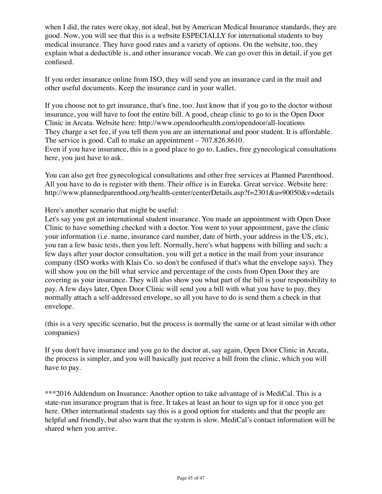when I did, the rates were okay, not ideal, but by American Medical Insurance standards, they are good. Now, you will see that this is a website ESPECIALLY for international students to buy medical insurance. They have good rates and a variety of options. On the website, too, they explain what a deductible is, and other insurance vocab. We can go over this in detail, if you get confused.

If you order insurance online from ISO, they will send you an insurance card in the mail and other useful documents. Keep the insurance card in your wallet.

If you choose not to get insurance, that's fine, too. Just know that if you go to the doctor without insurance, you will have to foot the entire bill. A good, cheap clinic to go to is the Open Door Clinic in Arcata. Website here:<http://www.opendoorhealth.com/opendoor/all-locations> They charge a set fee, if you tell them you are an international and poor student. It is affordable. The service is good. Call to make an appointment – 707.826.8610. Even if you have insurance, this is a good place to go to. Ladies, free gynecological consultations here, you just have to ask.

You can also get free gynecological consultations and other free services at Planned Parenthood. All you have to do is register with them. Their office is in Eureka. Great service. Website here: <http://www.plannedparenthood.org/health-center/centerDetails.asp?f=2301&a=90050&v=details>

Here's another scenario that might be useful:

Let's say you got an international student insurance. You made an appointment with Open Door Clinic to have something checked with a doctor. You went to your appointment, gave the clinic your information (i.e. name, insurance card number, date of birth, your address in the US, etc), you ran a few basic tests, then you left. Normally, here's what happens with billing and such: a few days after your doctor consultation, you will get a notice in the mail from your insurance company (ISO works with Klais Co. so don't be confused if that's what the envelope says). They will show you on the bill what service and percentage of the costs from Open Door they are covering as your insurance. They will also show you what part of the bill is your responsibility to pay. A few days later, Open Door Clinic will send you a bill with what you have to pay, they normally attach a self-addressed envelope, so all you have to do is send them a check in that envelope.

(this is a very specific scenario, but the process is normally the same or at least similar with other companies)

If you don't have insurance and you go to the doctor at, say again, Open Door Clinic in Arcata, the process is simpler, and you will basically just receive a bill from the clinic, which you will have to pay.

\*\*\*2016 Addendum on Insurance: Another option to take advantage of is MediCal. This is a state-run insurance program that is free. It takes at least an hour to sign up for it once you get here. Other international students say this is a good option for students and that the people are helpful and friendly, but also warn that the system is slow. MediCal's contact information will be shared when you arrive.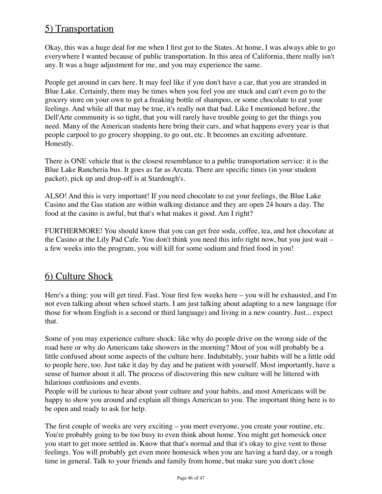# 5) Transportation

Okay, this was a huge deal for me when I first got to the States. At home, I was always able to go everywhere I wanted because of public transportation. In this area of California, there really isn't any. It was a huge adjustment for me, and you may experience the same.

People get around in cars here. It may feel like if you don't have a car, that you are stranded in Blue Lake. Certainly, there may be times when you feel you are stuck and can't even go to the grocery store on your own to get a freaking bottle of shampoo, or some chocolate to eat your feelings. And while all that may be true, it's really not that bad. Like I mentioned before, the Dell'Arte community is so tight, that you will rarely have trouble going to get the things you need. Many of the American students here bring their cars, and what happens every year is that people carpool to go grocery shopping, to go out, etc. It becomes an exciting adventure. Honestly.

There is ONE vehicle that is the closest resemblance to a public transportation service: it is the Blue Lake Rancheria bus. It goes as far as Arcata. There are specific times (in your student packet), pick up and drop-off is at Stardough's.

ALSO! And this is very important! If you need chocolate to eat your feelings, the Blue Lake Casino and the Gas station are within walking distance and they are open 24 hours a day. The food at the casino is awful, but that's what makes it good. Am I right?

FURTHERMORE! You should know that you can get free soda, coffee, tea, and hot chocolate at the Casino at the Lily Pad Cafe. You don't think you need this info right now, but you just wait – a few weeks into the program, you will kill for some sodium and fried food in you!

# 6) Culture Shock

Here's a thing: you will get tired. Fast. Your first few weeks here – you will be exhausted, and I'm not even talking about when school starts. I am just talking about adapting to a new language (for those for whom English is a second or third language) and living in a new country. Just... expect that.

Some of you may experience culture shock: like why do people drive on the wrong side of the road here or why do Americans take showers in the morning? Most of you will probably be a little confused about some aspects of the culture here. Indubitably, your habits will be a little odd to people here, too. Just take it day by day and be patient with yourself. Most importantly, have a sense of humor about it all. The process of discovering this new culture will be littered with hilarious confusions and events.

People will be curious to hear about your culture and your habits, and most Americans will be happy to show you around and explain all things American to you. The important thing here is to be open and ready to ask for help.

The first couple of weeks are very exciting – you meet everyone, you create your routine, etc. You're probably going to be too busy to even think about home. You might get homesick once you start to get more settled in. Know that that's normal and that it's okay to give vent to those feelings. You will probably get even more homesick when you are having a hard day, or a rough time in general. Talk to your friends and family from home, but make sure you don't close